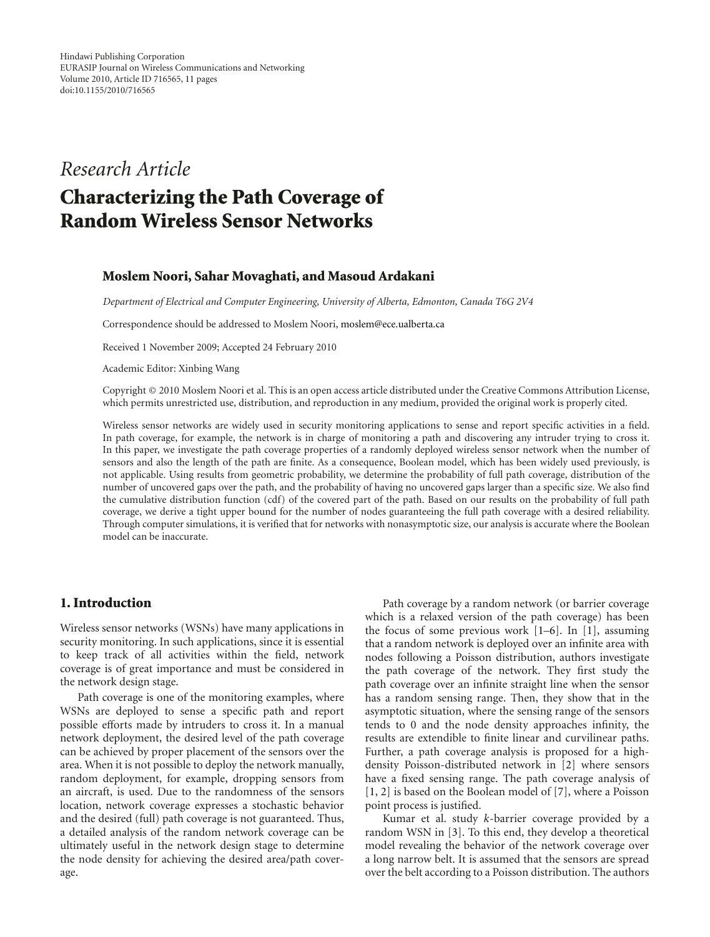# *Research Article* **Characterizing the Path Coverage of Random Wireless Sensor Networks**

#### **Moslem Noori, Sahar Movaghati, and Masoud Ardakani**

*Department of Electrical and Computer Engineering, University of Alberta, Edmonton, Canada T6G 2V4*

Correspondence should be addressed to Moslem Noori, moslem@ece.ualberta.ca

Received 1 November 2009; Accepted 24 February 2010

Academic Editor: Xinbing Wang

Copyright © 2010 Moslem Noori et al. This is an open access article distributed under the Creative Commons Attribution License, which permits unrestricted use, distribution, and reproduction in any medium, provided the original work is properly cited.

Wireless sensor networks are widely used in security monitoring applications to sense and report specific activities in a field. In path coverage, for example, the network is in charge of monitoring a path and discovering any intruder trying to cross it. In this paper, we investigate the path coverage properties of a randomly deployed wireless sensor network when the number of sensors and also the length of the path are finite. As a consequence, Boolean model, which has been widely used previously, is not applicable. Using results from geometric probability, we determine the probability of full path coverage, distribution of the number of uncovered gaps over the path, and the probability of having no uncovered gaps larger than a specific size. We also find the cumulative distribution function (cdf) of the covered part of the path. Based on our results on the probability of full path coverage, we derive a tight upper bound for the number of nodes guaranteeing the full path coverage with a desired reliability. Through computer simulations, it is verified that for networks with nonasymptotic size, our analysis is accurate where the Boolean model can be inaccurate.

#### **1. Introduction**

Wireless sensor networks (WSNs) have many applications in security monitoring. In such applications, since it is essential to keep track of all activities within the field, network coverage is of great importance and must be considered in the network design stage.

Path coverage is one of the monitoring examples, where WSNs are deployed to sense a specific path and report possible efforts made by intruders to cross it. In a manual network deployment, the desired level of the path coverage can be achieved by proper placement of the sensors over the area. When it is not possible to deploy the network manually, random deployment, for example, dropping sensors from an aircraft, is used. Due to the randomness of the sensors location, network coverage expresses a stochastic behavior and the desired (full) path coverage is not guaranteed. Thus, a detailed analysis of the random network coverage can be ultimately useful in the network design stage to determine the node density for achieving the desired area/path coverage.

Path coverage by a random network (or barrier coverage which is a relaxed version of the path coverage) has been the focus of some previous work  $[1-6]$ . In  $[1]$ , assuming that a random network is deployed over an infinite area with nodes following a Poisson distribution, authors investigate the path coverage of the network. They first study the path coverage over an infinite straight line when the sensor has a random sensing range. Then, they show that in the asymptotic situation, where the sensing range of the sensors tends to 0 and the node density approaches infinity, the results are extendible to finite linear and curvilinear paths. Further, a path coverage analysis is proposed for a highdensity Poisson-distributed network in [2] where sensors have a fixed sensing range. The path coverage analysis of [1, 2] is based on the Boolean model of [7], where a Poisson point process is justified.

Kumar et al. study *k*-barrier coverage provided by a random WSN in [3]. To this end, they develop a theoretical model revealing the behavior of the network coverage over a long narrow belt. It is assumed that the sensors are spread over the belt according to a Poisson distribution. The authors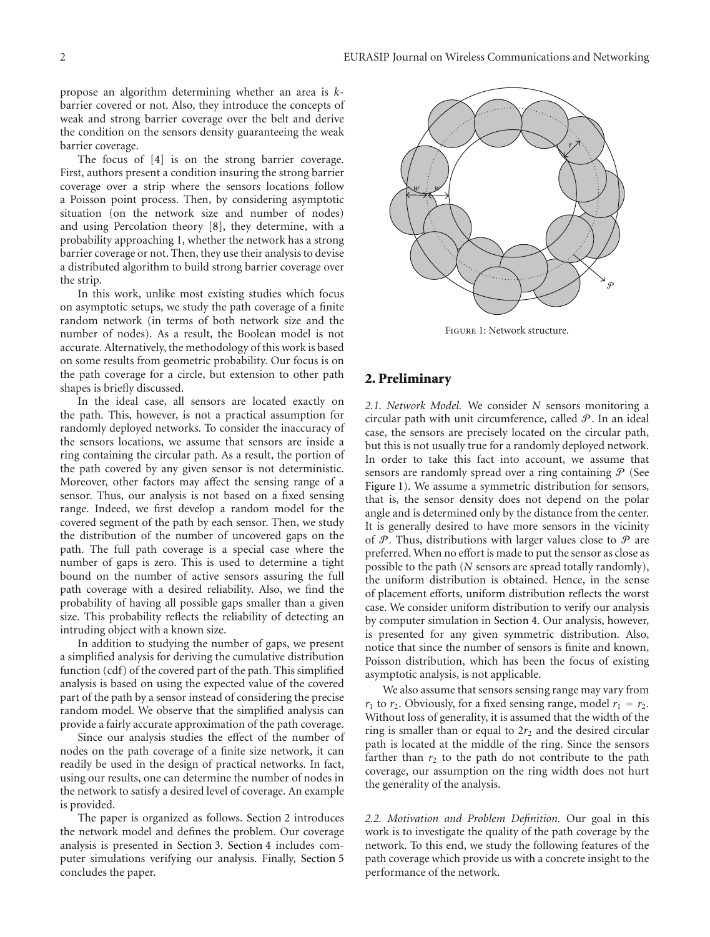propose an algorithm determining whether an area is *k*barrier covered or not. Also, they introduce the concepts of weak and strong barrier coverage over the belt and derive the condition on the sensors density guaranteeing the weak barrier coverage.

The focus of [4] is on the strong barrier coverage. First, authors present a condition insuring the strong barrier coverage over a strip where the sensors locations follow a Poisson point process. Then, by considering asymptotic situation (on the network size and number of nodes) and using Percolation theory [8], they determine, with a probability approaching 1, whether the network has a strong barrier coverage or not. Then, they use their analysis to devise a distributed algorithm to build strong barrier coverage over the strip.

In this work, unlike most existing studies which focus on asymptotic setups, we study the path coverage of a finite random network (in terms of both network size and the number of nodes). As a result, the Boolean model is not accurate. Alternatively, the methodology of this work is based on some results from geometric probability. Our focus is on the path coverage for a circle, but extension to other path shapes is briefly discussed.

In the ideal case, all sensors are located exactly on the path. This, however, is not a practical assumption for randomly deployed networks. To consider the inaccuracy of the sensors locations, we assume that sensors are inside a ring containing the circular path. As a result, the portion of the path covered by any given sensor is not deterministic. Moreover, other factors may affect the sensing range of a sensor. Thus, our analysis is not based on a fixed sensing range. Indeed, we first develop a random model for the covered segment of the path by each sensor. Then, we study the distribution of the number of uncovered gaps on the path. The full path coverage is a special case where the number of gaps is zero. This is used to determine a tight bound on the number of active sensors assuring the full path coverage with a desired reliability. Also, we find the probability of having all possible gaps smaller than a given size. This probability reflects the reliability of detecting an intruding object with a known size.

In addition to studying the number of gaps, we present a simplified analysis for deriving the cumulative distribution function (cdf) of the covered part of the path. This simplified analysis is based on using the expected value of the covered part of the path by a sensor instead of considering the precise random model. We observe that the simplified analysis can provide a fairly accurate approximation of the path coverage.

Since our analysis studies the effect of the number of nodes on the path coverage of a finite size network, it can readily be used in the design of practical networks. In fact, using our results, one can determine the number of nodes in the network to satisfy a desired level of coverage. An example is provided.

The paper is organized as follows. Section 2 introduces the network model and defines the problem. Our coverage analysis is presented in Section 3. Section 4 includes computer simulations verifying our analysis. Finally, Section 5 concludes the paper.



Figure 1: Network structure.

#### **2. Preliminary**

*2.1. Network Model.* We consider *N* sensors monitoring a circular path with unit circumference, called  $\mathcal{P}$ . In an ideal case, the sensors are precisely located on the circular path, but this is not usually true for a randomly deployed network. In order to take this fact into account, we assume that sensors are randomly spread over a ring containing  $P$  (See Figure 1). We assume a symmetric distribution for sensors, that is, the sensor density does not depend on the polar angle and is determined only by the distance from the center. It is generally desired to have more sensors in the vicinity of  $P$ . Thus, distributions with larger values close to  $P$  are preferred. When no effort is made to put the sensor as close as possible to the path (*N* sensors are spread totally randomly), the uniform distribution is obtained. Hence, in the sense of placement efforts, uniform distribution reflects the worst case. We consider uniform distribution to verify our analysis by computer simulation in Section 4. Our analysis, however, is presented for any given symmetric distribution. Also, notice that since the number of sensors is finite and known, Poisson distribution, which has been the focus of existing asymptotic analysis, is not applicable.

We also assume that sensors sensing range may vary from  $r_1$  to  $r_2$ . Obviously, for a fixed sensing range, model  $r_1 = r_2$ . Without loss of generality, it is assumed that the width of the ring is smaller than or equal to  $2r_2$  and the desired circular path is located at the middle of the ring. Since the sensors farther than  $r_2$  to the path do not contribute to the path coverage, our assumption on the ring width does not hurt the generality of the analysis.

*2.2. Motivation and Problem Definition.* Our goal in this work is to investigate the quality of the path coverage by the network. To this end, we study the following features of the path coverage which provide us with a concrete insight to the performance of the network.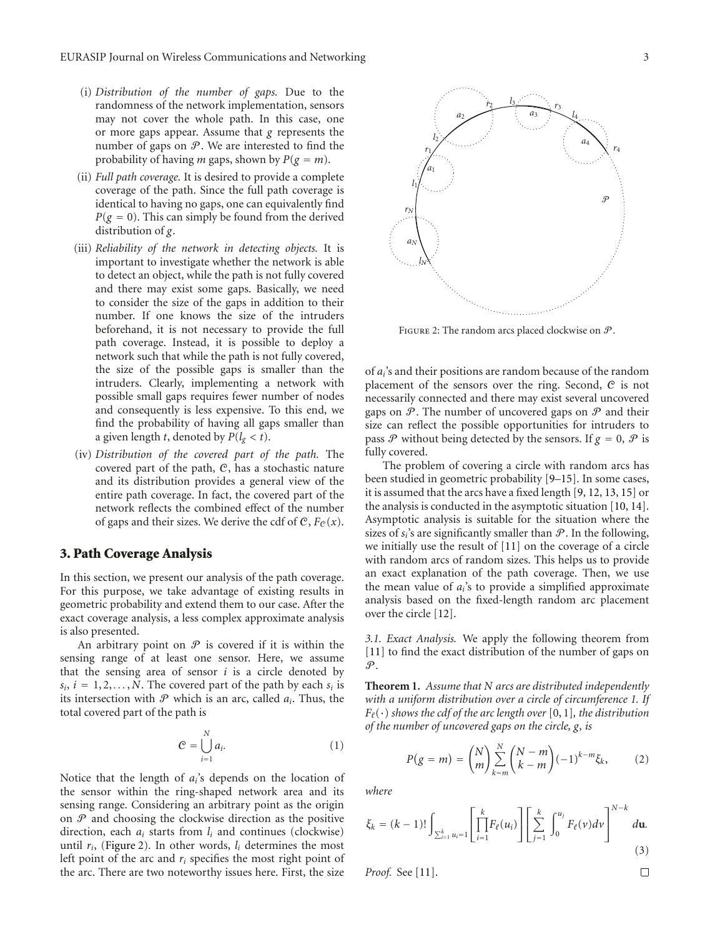- (i) *Distribution of the number of gaps.* Due to the randomness of the network implementation, sensors may not cover the whole path. In this case, one or more gaps appear. Assume that *g* represents the number of gaps on  $P$ . We are interested to find the probability of having *m* gaps, shown by  $P(g = m)$ .
- (ii) *Full path coverage.* It is desired to provide a complete coverage of the path. Since the full path coverage is identical to having no gaps, one can equivalently find  $P(g = 0)$ . This can simply be found from the derived distribution of *g*.
- (iii) *Reliability of the network in detecting objects.* It is important to investigate whether the network is able to detect an object, while the path is not fully covered and there may exist some gaps. Basically, we need to consider the size of the gaps in addition to their number. If one knows the size of the intruders beforehand, it is not necessary to provide the full path coverage. Instead, it is possible to deploy a network such that while the path is not fully covered, the size of the possible gaps is smaller than the intruders. Clearly, implementing a network with possible small gaps requires fewer number of nodes and consequently is less expensive. To this end, we find the probability of having all gaps smaller than a given length *t*, denoted by  $P(l_{\sigma} < t)$ .
- (iv) *Distribution of the covered part of the path.* The covered part of the path, C, has a stochastic nature and its distribution provides a general view of the entire path coverage. In fact, the covered part of the network reflects the combined effect of the number of gaps and their sizes. We derive the cdf of  $C$ ,  $F_C(x)$ .

#### **3. Path Coverage Analysis**

In this section, we present our analysis of the path coverage. For this purpose, we take advantage of existing results in geometric probability and extend them to our case. After the exact coverage analysis, a less complex approximate analysis is also presented.

An arbitrary point on  $P$  is covered if it is within the sensing range of at least one sensor. Here, we assume that the sensing area of sensor *i* is a circle denoted by  $s_i$ ,  $i = 1, 2, \ldots, N$ . The covered part of the path by each  $s_i$  is its intersection with  $P$  which is an arc, called  $a_i$ . Thus, the total covered part of the path is

$$
C = \bigcup_{i=1}^{N} a_i.
$$
 (1)

Notice that the length of *ai*'s depends on the location of the sensor within the ring-shaped network area and its sensing range. Considering an arbitrary point as the origin on  $P$  and choosing the clockwise direction as the positive direction, each *ai* starts from *li* and continues (clockwise) until  $r_i$ , (Figure 2). In other words,  $l_i$  determines the most left point of the arc and *ri* specifies the most right point of the arc. There are two noteworthy issues here. First, the size



FIGURE 2: The random arcs placed clockwise on  $P$ .

of *ai*'s and their positions are random because of the random placement of the sensors over the ring. Second, C is not necessarily connected and there may exist several uncovered gaps on  $P$ . The number of uncovered gaps on  $P$  and their size can reflect the possible opportunities for intruders to pass  $P$  without being detected by the sensors. If  $g = 0$ ,  $P$  is fully covered.

The problem of covering a circle with random arcs has been studied in geometric probability [9–15]. In some cases, it is assumed that the arcs have a fixed length [9, 12, 13, 15] or the analysis is conducted in the asymptotic situation [10, 14]. Asymptotic analysis is suitable for the situation where the sizes of  $s_i$ 's are significantly smaller than  $P$ . In the following, we initially use the result of [11] on the coverage of a circle with random arcs of random sizes. This helps us to provide an exact explanation of the path coverage. Then, we use the mean value of *ai*'s to provide a simplified approximate analysis based on the fixed-length random arc placement over the circle [12].

*3.1. Exact Analysis.* We apply the following theorem from [11] to find the exact distribution of the number of gaps on  $\mathcal{P}$ .

**Theorem 1.** *Assume that N arcs are distributed independently with a uniform distribution over a circle of circumference 1. If*  $F_{\ell}(\cdot)$  shows the cdf of the arc length over  $[0,1]$ , the distribution *of the number of uncovered gaps on the circle, g, is*

$$
P(g = m) = {N \choose m} \sum_{k=m}^{N} {N-m \choose k-m} (-1)^{k-m} \xi_k, \qquad (2)
$$

*where*

$$
\xi_k = (k-1)! \int_{\sum_{i=1}^k u_i = 1} \left[ \prod_{i=1}^k F_\ell(u_i) \right] \left[ \sum_{j=1}^k \int_0^{u_j} F_\ell(v) dv \right]^{N-k} du.
$$
\n(3)

*Proof.* See [11]. $\Box$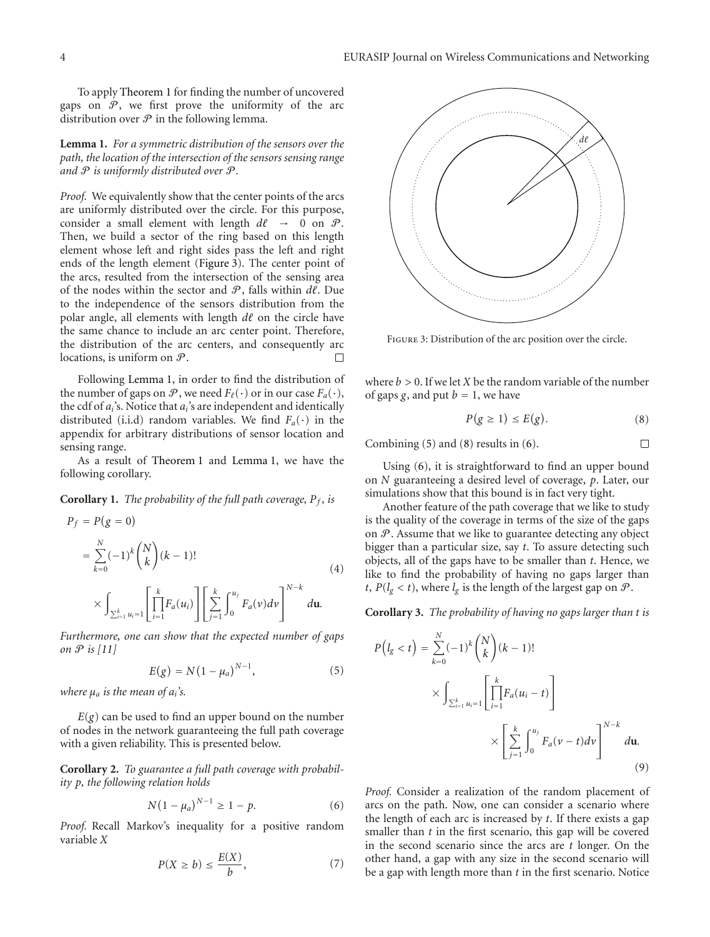To apply Theorem 1 for finding the number of uncovered gaps on  $\mathcal{P}$ , we first prove the uniformity of the arc distribution over  $P$  in the following lemma.

**Lemma 1.** *For a symmetric distribution of the sensors over the path, the location of the intersection of the sensors sensing range and* P *is uniformly distributed over* P *.*

*Proof.* We equivalently show that the center points of the arcs are uniformly distributed over the circle. For this purpose, consider a small element with length  $d\ell \rightarrow 0$  on  $\mathcal{P}$ . Then, we build a sector of the ring based on this length element whose left and right sides pass the left and right ends of the length element (Figure 3). The center point of the arcs, resulted from the intersection of the sensing area of the nodes within the sector and P, falls within  $d\ell$ . Due to the independence of the sensors distribution from the polar angle, all elements with length  $d\ell$  on the circle have the same chance to include an arc center point. Therefore, the distribution of the arc centers, and consequently arc locations, is uniform on  $P$ .  $\Box$ 

Following Lemma 1, in order to find the distribution of the number of gaps on  $P$ , we need  $F_{\ell}(\cdot)$  or in our case  $F_a(\cdot)$ , the cdf of *ai*'s. Notice that *ai*'s are independent and identically distributed (i.i.d) random variables. We find  $F_a(\cdot)$  in the appendix for arbitrary distributions of sensor location and sensing range.

As a result of Theorem 1 and Lemma 1, we have the following corollary.

**Corollary 1.** *The probability of the full path coverage,*  $P_f$ *, is* 

$$
P_f = P(g = 0)
$$
  
=  $\sum_{k=0}^{N} (-1)^k {N \choose k} (k - 1)!$   

$$
\times \int_{\sum_{i=1}^{k} u_i = 1} \left[ \prod_{i=1}^{k} F_a(u_i) \right] \left[ \sum_{j=1}^{k} \int_0^{u_j} F_a(v) dv \right]^{N-k} du.
$$
 (4)

*Furthermore, one can show that the expected number of gaps on* P *is [11]*

$$
E(g) = N(1 - \mu_a)^{N-1},
$$
 (5)

*where*  $\mu_a$  *is the mean of*  $a_i$ *'s.* 

 $E(g)$  can be used to find an upper bound on the number of nodes in the network guaranteeing the full path coverage with a given reliability. This is presented below.

**Corollary 2.** *To guarantee a full path coverage with probability p, the following relation holds*

$$
N(1 - \mu_a)^{N-1} \ge 1 - p.
$$
 (6)

*Proof.* Recall Markov's inequality for a positive random variable *X*

$$
P(X \ge b) \le \frac{E(X)}{b},\tag{7}
$$



Figure 3: Distribution of the arc position over the circle.

where  $b > 0$ . If we let *X* be the random variable of the number of gaps *g*, and put  $b = 1$ , we have

$$
P(g \ge 1) \le E(g). \tag{8}
$$

 $\Box$ 

Combining (5) and (8) results in (6).

Using (6), it is straightforward to find an upper bound on *N* guaranteeing a desired level of coverage, *p*. Later, our simulations show that this bound is in fact very tight.

Another feature of the path coverage that we like to study is the quality of the coverage in terms of the size of the gaps on  $P$ . Assume that we like to guarantee detecting any object bigger than a particular size, say *t*. To assure detecting such objects, all of the gaps have to be smaller than *t*. Hence, we like to find the probability of having no gaps larger than *t*,  $P(l_{\varrho} < t)$ , where  $l_{\varrho}$  is the length of the largest gap on  $\varrho$ .

**Corollary 3.** *The probability of having no gaps larger than t is*

$$
P(l_g < t) = \sum_{k=0}^{N} (-1)^k {N \choose k} (k-1)!
$$
  
 
$$
\times \int_{\sum_{i=1}^k u_i = 1} \left[ \prod_{i=1}^k F_a(u_i - t) \right]
$$
  
 
$$
\times \left[ \sum_{j=1}^k \int_0^{u_j} F_a(v - t) dv \right]^{N-k} du.
$$
 (9)

*Proof.* Consider a realization of the random placement of arcs on the path. Now, one can consider a scenario where the length of each arc is increased by *t*. If there exists a gap smaller than *t* in the first scenario, this gap will be covered in the second scenario since the arcs are *t* longer. On the other hand, a gap with any size in the second scenario will be a gap with length more than *t* in the first scenario. Notice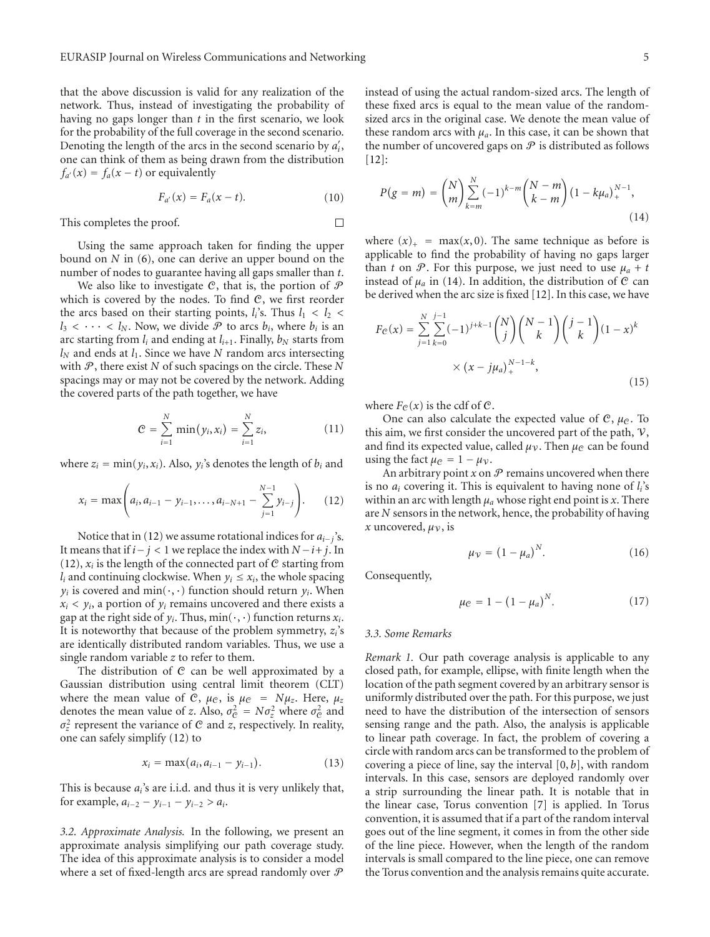that the above discussion is valid for any realization of the network. Thus, instead of investigating the probability of having no gaps longer than *t* in the first scenario, we look for the probability of the full coverage in the second scenario. Denoting the length of the arcs in the second scenario by *a i* , one can think of them as being drawn from the distribution  $f_{a'}(x) = f_a(x - t)$  or equivalently

$$
F_{a'}(x) = F_a(x - t).
$$
 (10)

 $\Box$ 

This completes the proof.

Using the same approach taken for finding the upper bound on *N* in (6), one can derive an upper bound on the number of nodes to guarantee having all gaps smaller than *t*.

We also like to investigate  $C$ , that is, the portion of  $P$ which is covered by the nodes. To find  $C$ , we first reorder the arcs based on their starting points,  $l_i$ 's. Thus  $l_1 < l_2 <$  $l_3 < \cdots < l_N$ . Now, we divide P to arcs  $b_i$ , where  $b_i$  is an arc starting from  $l_i$  and ending at  $l_{i+1}$ . Finally,  $b_N$  starts from  $l_N$  and ends at  $l_1$ . Since we have *N* random arcs intersecting with  $P$ , there exist *N* of such spacings on the circle. These *N* spacings may or may not be covered by the network. Adding the covered parts of the path together, we have

$$
C = \sum_{i=1}^{N} \min(y_i, x_i) = \sum_{i=1}^{N} z_i,
$$
 (11)

where  $z_i = \min(y_i, x_i)$ . Also,  $y_i$ 's denotes the length of  $b_i$  and

$$
x_i = \max\left(a_i, a_{i-1} - y_{i-1}, \dots, a_{i-N+1} - \sum_{j=1}^{N-1} y_{i-j}\right).
$$
 (12)

Notice that in (12) we assume rotational indices for *ai*−*<sup>j</sup>*'s. It means that if *i*− *j <* 1 we replace the index with *N* −*i*+ *j*. In  $(12)$ ,  $x_i$  is the length of the connected part of C starting from  $l_i$  and continuing clockwise. When  $y_i \leq x_i$ , the whole spacing  $y_i$  is covered and min( $\cdot$ , $\cdot$ ) function should return  $y_i$ . When  $x_i < y_i$ , a portion of  $y_i$  remains uncovered and there exists a gap at the right side of  $y_i$ . Thus,  $\min(\cdot, \cdot)$  function returns  $x_i$ . It is noteworthy that because of the problem symmetry,  $z_i$ 's are identically distributed random variables. Thus, we use a single random variable *z* to refer to them.

The distribution of  $C$  can be well approximated by a Gaussian distribution using central limit theorem (CLT) where the mean value of C,  $\mu_c$ , is  $\mu_c = N\mu_z$ . Here,  $\mu_z$ denotes the mean value of *z*. Also,  $\sigma_{\mathcal{C}}^2 = N \sigma_z^2$  where  $\sigma_{\mathcal{C}}^2$  and *σ*2 *<sup>z</sup>* represent the variance of C and *z*, respectively. In reality, one can safely simplify (12) to

$$
x_i = \max(a_i, a_{i-1} - y_{i-1}). \tag{13}
$$

This is because *ai*'s are i.i.d. and thus it is very unlikely that, for example,  $a_{i-2} - y_{i-1} - y_{i-2} > a_i$ .

*3.2. Approximate Analysis.* In the following, we present an approximate analysis simplifying our path coverage study. The idea of this approximate analysis is to consider a model where a set of fixed-length arcs are spread randomly over  $P$  instead of using the actual random-sized arcs. The length of these fixed arcs is equal to the mean value of the randomsized arcs in the original case. We denote the mean value of these random arcs with  $\mu_a$ . In this case, it can be shown that the number of uncovered gaps on  $P$  is distributed as follows [12]:

$$
P(g = m) = {N \choose m} \sum_{k=m}^{N} (-1)^{k-m} {N-m \choose k-m} (1 - k\mu_a)_+^{N-1},
$$
\n(14)

where  $(x)_+$  = max $(x, 0)$ . The same technique as before is applicable to find the probability of having no gaps larger than *t* on P. For this purpose, we just need to use  $\mu_a + t$ instead of  $\mu_a$  in (14). In addition, the distribution of  $\mathcal C$  can be derived when the arc size is fixed [12]. In this case, we have

$$
F_{\mathcal{C}}(x) = \sum_{j=1}^{N} \sum_{k=0}^{j-1} (-1)^{j+k-1} {N \choose j} {N-1 \choose k} {j-1 \choose k} (1-x)^k
$$
  
 
$$
\times (x - j\mu_a)_+^{N-1-k}, \qquad (15)
$$

where  $F_C(x)$  is the cdf of C.

One can also calculate the expected value of *C*, *μ*<sub>*C*</sub>. To this aim, we first consider the uncovered part of the path,  $V$ , and find its expected value, called  $\mu_V$ . Then  $\mu_C$  can be found using the fact  $\mu_{\mathcal{C}} = 1 - \mu_{\mathcal{V}}$ .

An arbitrary point  $x$  on  $P$  remains uncovered when there is no *ai* covering it. This is equivalent to having none of *li*'s within an arc with length *μa* whose right end point is *x*. There are *N* sensors in the network, hence, the probability of having *x* uncovered,  $\mu$ <sub>*v*</sub>, is

$$
\mu_{\mathcal{V}} = (1 - \mu_a)^N. \tag{16}
$$

Consequently,

$$
\mu_{\mathcal{C}} = 1 - (1 - \mu_a)^N. \tag{17}
$$

#### *3.3. Some Remarks*

*Remark 1.* Our path coverage analysis is applicable to any closed path, for example, ellipse, with finite length when the location of the path segment covered by an arbitrary sensor is uniformly distributed over the path. For this purpose, we just need to have the distribution of the intersection of sensors sensing range and the path. Also, the analysis is applicable to linear path coverage. In fact, the problem of covering a circle with random arcs can be transformed to the problem of covering a piece of line, say the interval [0, *b*], with random intervals. In this case, sensors are deployed randomly over a strip surrounding the linear path. It is notable that in the linear case, Torus convention [7] is applied. In Torus convention, it is assumed that if a part of the random interval goes out of the line segment, it comes in from the other side of the line piece. However, when the length of the random intervals is small compared to the line piece, one can remove the Torus convention and the analysis remains quite accurate.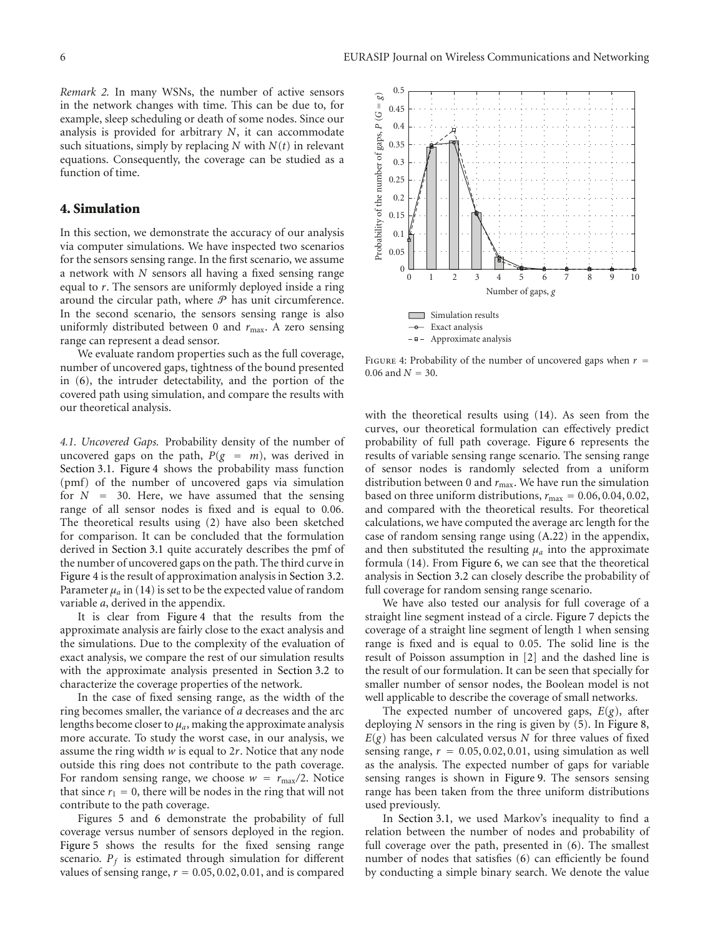*Remark 2.* In many WSNs, the number of active sensors in the network changes with time. This can be due to, for example, sleep scheduling or death of some nodes. Since our analysis is provided for arbitrary *N*, it can accommodate such situations, simply by replacing  $N$  with  $N(t)$  in relevant equations. Consequently, the coverage can be studied as a function of time.

#### **4. Simulation**

In this section, we demonstrate the accuracy of our analysis via computer simulations. We have inspected two scenarios for the sensors sensing range. In the first scenario, we assume a network with *N* sensors all having a fixed sensing range equal to *r*. The sensors are uniformly deployed inside a ring around the circular path, where  $P$  has unit circumference. In the second scenario, the sensors sensing range is also uniformly distributed between 0 and  $r_{\text{max}}$ . A zero sensing range can represent a dead sensor.

We evaluate random properties such as the full coverage, number of uncovered gaps, tightness of the bound presented in (6), the intruder detectability, and the portion of the covered path using simulation, and compare the results with our theoretical analysis.

*4.1. Uncovered Gaps.* Probability density of the number of uncovered gaps on the path,  $P(g = m)$ , was derived in Section 3.1. Figure 4 shows the probability mass function (pmf) of the number of uncovered gaps via simulation for  $N = 30$ . Here, we have assumed that the sensing range of all sensor nodes is fixed and is equal to 0*.*06. The theoretical results using (2) have also been sketched for comparison. It can be concluded that the formulation derived in Section 3.1 quite accurately describes the pmf of the number of uncovered gaps on the path. The third curve in Figure 4 is the result of approximation analysis in Section 3.2. Parameter  $\mu_a$  in (14) is set to be the expected value of random variable *a*, derived in the appendix.

It is clear from Figure 4 that the results from the approximate analysis are fairly close to the exact analysis and the simulations. Due to the complexity of the evaluation of exact analysis, we compare the rest of our simulation results with the approximate analysis presented in Section 3.2 to characterize the coverage properties of the network.

In the case of fixed sensing range, as the width of the ring becomes smaller, the variance of *a* decreases and the arc lengths become closer to  $\mu_a$ , making the approximate analysis more accurate. To study the worst case, in our analysis, we assume the ring width *w* is equal to 2*r*. Notice that any node outside this ring does not contribute to the path coverage. For random sensing range, we choose  $w = r_{\text{max}}/2$ . Notice that since  $r_1 = 0$ , there will be nodes in the ring that will not contribute to the path coverage.

Figures 5 and 6 demonstrate the probability of full coverage versus number of sensors deployed in the region. Figure 5 shows the results for the fixed sensing range scenario.  $P_f$  is estimated through simulation for different values of sensing range,  $r = 0.05, 0.02, 0.01$ , and is compared



FIGURE 4: Probability of the number of uncovered gaps when  $r =$ 0.06 and  $N = 30$ .

with the theoretical results using (14). As seen from the curves, our theoretical formulation can effectively predict probability of full path coverage. Figure 6 represents the results of variable sensing range scenario. The sensing range of sensor nodes is randomly selected from a uniform distribution between 0 and *r*max. We have run the simulation based on three uniform distributions,  $r_{\text{max}} = 0.06, 0.04, 0.02$ , and compared with the theoretical results. For theoretical calculations, we have computed the average arc length for the case of random sensing range using (A.22) in the appendix, and then substituted the resulting  $\mu_a$  into the approximate formula (14). From Figure 6, we can see that the theoretical analysis in Section 3.2 can closely describe the probability of full coverage for random sensing range scenario.

We have also tested our analysis for full coverage of a straight line segment instead of a circle. Figure 7 depicts the coverage of a straight line segment of length 1 when sensing range is fixed and is equal to 0*.*05. The solid line is the result of Poisson assumption in [2] and the dashed line is the result of our formulation. It can be seen that specially for smaller number of sensor nodes, the Boolean model is not well applicable to describe the coverage of small networks.

The expected number of uncovered gaps,  $E(g)$ , after deploying *N* sensors in the ring is given by (5). In Figure 8,  $E(g)$  has been calculated versus *N* for three values of fixed sensing range,  $r = 0.05, 0.02, 0.01$ , using simulation as well as the analysis. The expected number of gaps for variable sensing ranges is shown in Figure 9. The sensors sensing range has been taken from the three uniform distributions used previously.

In Section 3.1, we used Markov's inequality to find a relation between the number of nodes and probability of full coverage over the path, presented in (6). The smallest number of nodes that satisfies (6) can efficiently be found by conducting a simple binary search. We denote the value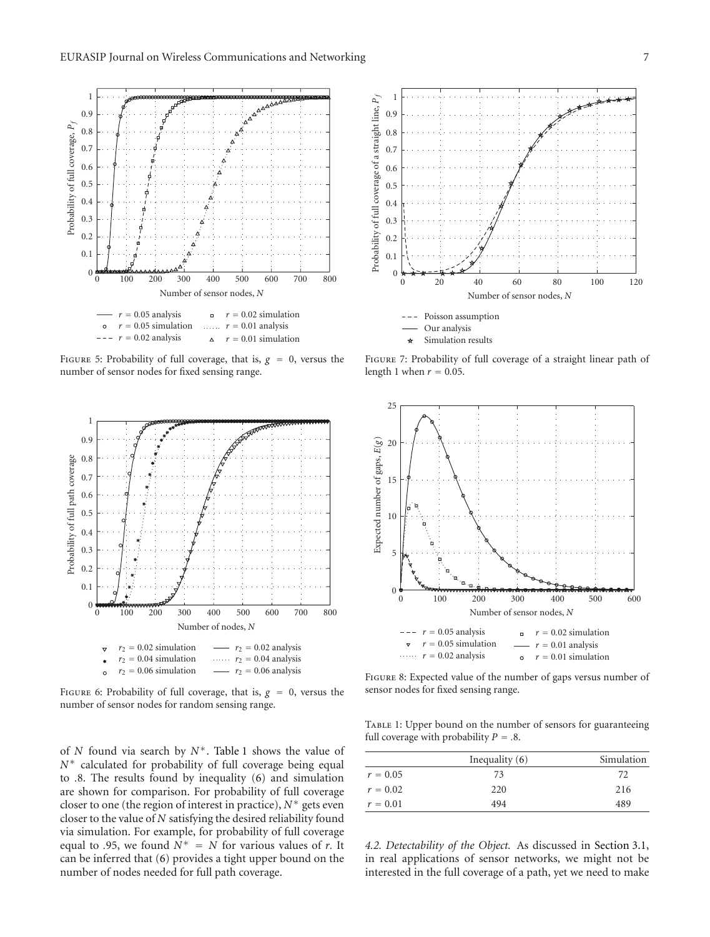

FIGURE 5: Probability of full coverage, that is,  $g = 0$ , versus the number of sensor nodes for fixed sensing range.



FIGURE 6: Probability of full coverage, that is,  $g = 0$ , versus the number of sensor nodes for random sensing range.

of *N* found via search by *N*∗. Table 1 shows the value of *N*<sup>∗</sup> calculated for probability of full coverage being equal to *.*8. The results found by inequality (6) and simulation are shown for comparison. For probability of full coverage closer to one (the region of interest in practice), *N*<sup>∗</sup> gets even closer to the value of *N* satisfying the desired reliability found via simulation. For example, for probability of full coverage equal to *.*95, we found  $N^* = N$  for various values of *r*. It can be inferred that (6) provides a tight upper bound on the number of nodes needed for full path coverage.



Figure 7: Probability of full coverage of a straight linear path of length 1 when  $r = 0.05$ .



Figure 8: Expected value of the number of gaps versus number of sensor nodes for fixed sensing range.

Table 1: Upper bound on the number of sensors for guaranteeing full coverage with probability  $P = .8$ .

|            | Inequality $(6)$ | Simulation |
|------------|------------------|------------|
| $r = 0.05$ | 73               | 72         |
| $r = 0.02$ | 220              | 216        |
| $r = 0.01$ | 494              | 489        |
|            |                  |            |

*4.2. Detectability of the Object.* As discussed in Section 3.1, in real applications of sensor networks, we might not be interested in the full coverage of a path, yet we need to make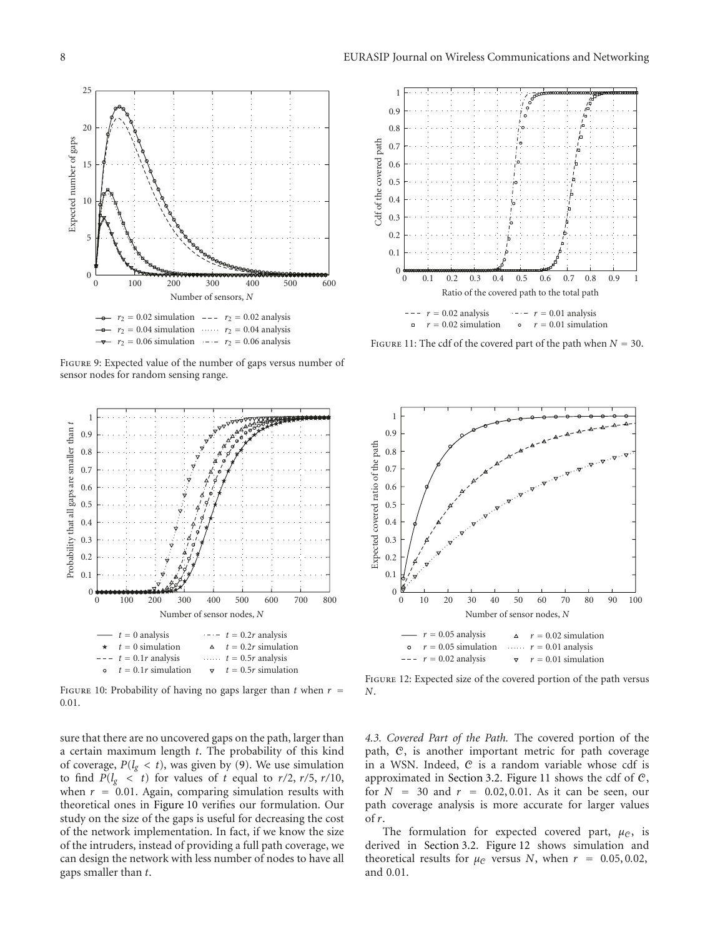

Figure 9: Expected value of the number of gaps versus number of sensor nodes for random sensing range.



FIGURE 10: Probability of having no gaps larger than  $t$  when  $r =$ 0*.*01.

sure that there are no uncovered gaps on the path, larger than a certain maximum length *t*. The probability of this kind of coverage,  $P(l_g < t)$ , was given by (9). We use simulation to find  $P(l_g < t)$  for values of *t* equal to  $r/2$ ,  $r/5$ ,  $r/10$ , when  $r = 0.01$ . Again, comparing simulation results with theoretical ones in Figure 10 verifies our formulation. Our study on the size of the gaps is useful for decreasing the cost of the network implementation. In fact, if we know the size of the intruders, instead of providing a full path coverage, we can design the network with less number of nodes to have all gaps smaller than *t*.



FIGURE 11: The cdf of the covered part of the path when  $N = 30$ .



Figure 12: Expected size of the covered portion of the path versus *N*.

*4.3. Covered Part of the Path.* The covered portion of the path, C, is another important metric for path coverage in a WSN. Indeed, C is a random variable whose cdf is approximated in Section 3.2. Figure 11 shows the cdf of C, for  $N = 30$  and  $r = 0.02, 0.01$ . As it can be seen, our path coverage analysis is more accurate for larger values of *r*.

The formulation for expected covered part,  $\mu_{\rm C}$ , is derived in Section 3.2. Figure 12 shows simulation and theoretical results for  $\mu_{\mathcal{C}}$  versus *N*, when  $r = 0.05, 0.02$ , and 0*.*01.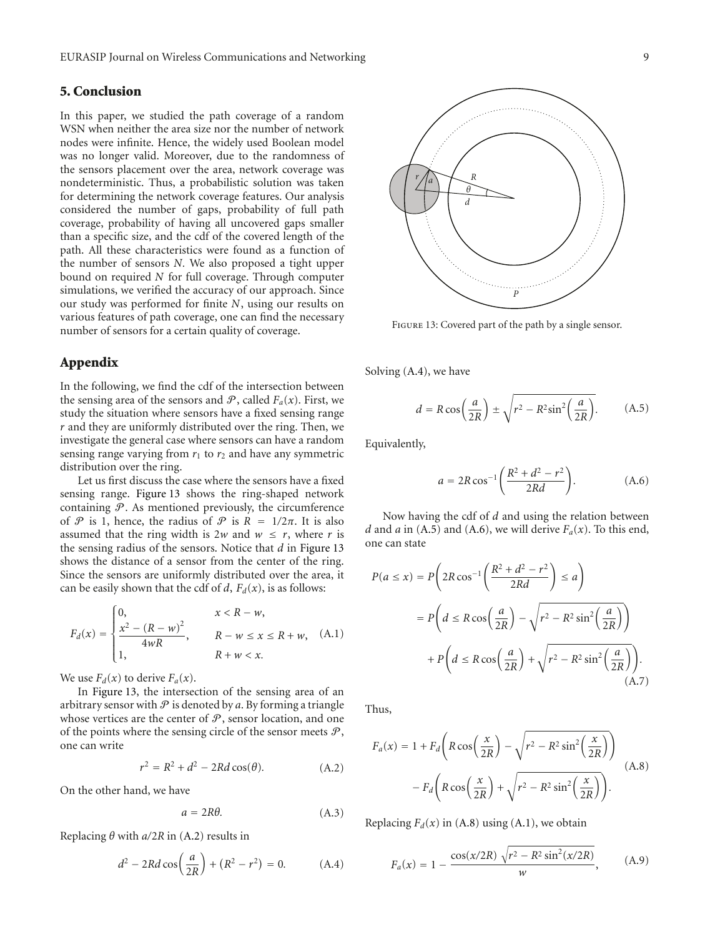## **5. Conclusion**

In this paper, we studied the path coverage of a random WSN when neither the area size nor the number of network nodes were infinite. Hence, the widely used Boolean model was no longer valid. Moreover, due to the randomness of the sensors placement over the area, network coverage was nondeterministic. Thus, a probabilistic solution was taken for determining the network coverage features. Our analysis considered the number of gaps, probability of full path coverage, probability of having all uncovered gaps smaller than a specific size, and the cdf of the covered length of the path. All these characteristics were found as a function of the number of sensors *N.* We also proposed a tight upper bound on required *N* for full coverage. Through computer simulations, we verified the accuracy of our approach. Since our study was performed for finite *N*, using our results on various features of path coverage, one can find the necessary number of sensors for a certain quality of coverage.

### **Appendix**

In the following, we find the cdf of the intersection between the sensing area of the sensors and  $\mathcal P$ , called  $F_a(x)$ . First, we study the situation where sensors have a fixed sensing range *r* and they are uniformly distributed over the ring. Then, we investigate the general case where sensors can have a random sensing range varying from  $r_1$  to  $r_2$  and have any symmetric distribution over the ring.

Let us first discuss the case where the sensors have a fixed sensing range. Figure 13 shows the ring-shaped network containing  $\mathcal P$ . As mentioned previously, the circumference of P is 1, hence, the radius of P is  $\overline{R} = 1/2\pi$ . It is also assumed that the ring width is  $2w$  and  $w \leq r$ , where *r* is the sensing radius of the sensors. Notice that *d* in Figure 13 shows the distance of a sensor from the center of the ring. Since the sensors are uniformly distributed over the area, it can be easily shown that the cdf of *d*,  $F_d(x)$ , is as follows:

$$
F_d(x) = \begin{cases} 0, & x < R - w, \\ \frac{x^2 - (R - w)^2}{4wR}, & R - w \le x \le R + w, \\ 1, & R + w < x. \end{cases}
$$
 (A.1)

We use  $F_d(x)$  to derive  $F_a(x)$ .

In Figure 13, the intersection of the sensing area of an arbitrary sensor with  $P$  is denoted by a. By forming a triangle whose vertices are the center of  $P$ , sensor location, and one of the points where the sensing circle of the sensor meets  $P$ , one can write

$$
r^2 = R^2 + d^2 - 2Rd\cos(\theta). \tag{A.2}
$$

On the other hand, we have

$$
a = 2R\theta. \tag{A.3}
$$

Replacing  $\theta$  with  $a/2R$  in (A.2) results in

$$
d^{2} - 2Rd \cos\left(\frac{a}{2R}\right) + (R^{2} - r^{2}) = 0.
$$
 (A.4)



FIGURE 13: Covered part of the path by a single sensor.

Solving (A.4), we have

$$
d = R\cos\left(\frac{a}{2R}\right) \pm \sqrt{r^2 - R^2\sin^2\left(\frac{a}{2R}\right)}.
$$
 (A.5)

Equivalently,

$$
a = 2R\cos^{-1}\left(\frac{R^2 + d^2 - r^2}{2Rd}\right).
$$
 (A.6)

Now having the cdf of *d* and using the relation between *d* and *a* in (A.5) and (A.6), we will derive  $F_a(x)$ . To this end, one can state

$$
P(a \le x) = P\left(2R\cos^{-1}\left(\frac{R^2 + d^2 - r^2}{2Rd}\right) \le a\right)
$$
  
= 
$$
P\left(d \le R\cos\left(\frac{a}{2R}\right) - \sqrt{r^2 - R^2\sin^2\left(\frac{a}{2R}\right)}\right)
$$
  
+ 
$$
P\left(d \le R\cos\left(\frac{a}{2R}\right) + \sqrt{r^2 - R^2\sin^2\left(\frac{a}{2R}\right)}\right).
$$
(A.7)

Thus,

$$
F_a(x) = 1 + F_d\left(R\cos\left(\frac{x}{2R}\right) - \sqrt{r^2 - R^2\sin^2\left(\frac{x}{2R}\right)}\right)
$$

$$
- F_d\left(R\cos\left(\frac{x}{2R}\right) + \sqrt{r^2 - R^2\sin^2\left(\frac{x}{2R}\right)}\right).
$$
(A.8)

Replacing  $F_d(x)$  in (A.8) using (A.1), we obtain

$$
F_a(x) = 1 - \frac{\cos(x/2R)\sqrt{r^2 - R^2\sin^2(x/2R)}}{w}, \quad (A.9)
$$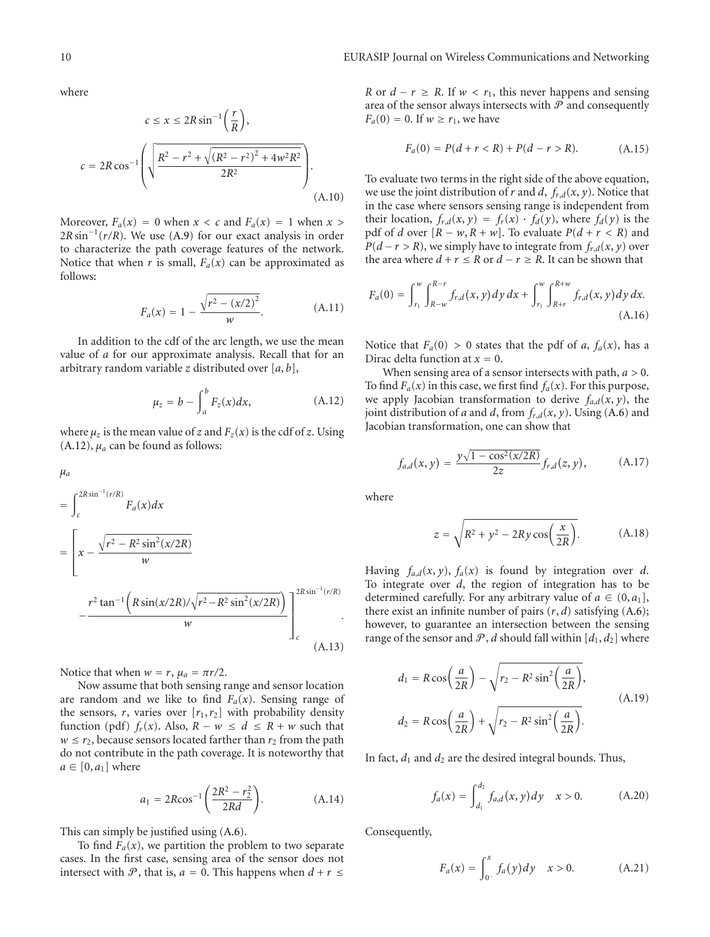where

$$
c \le x \le 2R \sin^{-1}\left(\frac{r}{R}\right),
$$
  

$$
c = 2R \cos^{-1}\left(\sqrt{\frac{R^2 - r^2 + \sqrt{(R^2 - r^2)^2 + 4w^2 R^2}}{2R^2}}\right).
$$
(A.10)

Moreover,  $F_a(x) = 0$  when  $x < c$  and  $F_a(x) = 1$  when  $x >$  $2R\sin^{-1}(r/R)$ . We use (A.9) for our exact analysis in order to characterize the path coverage features of the network. Notice that when *r* is small,  $F_a(x)$  can be approximated as follows:

$$
F_a(x) = 1 - \frac{\sqrt{r^2 - (x/2)^2}}{w}.
$$
 (A.11)

In addition to the cdf of the arc length, we use the mean value of *a* for our approximate analysis. Recall that for an arbitrary random variable *z* distributed over [*a*, *b*],

$$
\mu_z = b - \int_a^b F_z(x) dx, \tag{A.12}
$$

where  $\mu_z$  is the mean value of *z* and  $F_z(x)$  is the cdf of *z*. Using  $(A.12)$ ,  $\mu_a$  can be found as follows:

*μa*

$$
= \int_{c}^{2R\sin^{-1}(r/R)} F_{a}(x)dx
$$
  
= 
$$
\left[x - \frac{\sqrt{r^{2} - R^{2}\sin^{2}(x/2R)}}{w}\right]_{c}^{2R\sin^{-1}(r/R)}
$$
  

$$
-\frac{r^{2}\tan^{-1}(R\sin(x/2R)/\sqrt{r^{2} - R^{2}\sin^{2}(x/2R)}}{w}\right]_{c}^{2R\sin^{-1}(r/R)}
$$
(A.13)

Notice that when  $w = r$ ,  $\mu_a = \pi r/2$ .

Now assume that both sensing range and sensor location are random and we like to find  $F_a(x)$ . Sensing range of the sensors,  $r$ , varies over  $[r_1, r_2]$  with probability density function (pdf)  $f_r(x)$ . Also,  $R - w \le d \le R + w$  such that  $w \le r_2$ , because sensors located farther than  $r_2$  from the path do not contribute in the path coverage. It is noteworthy that  $a \in [0, a_1]$  where

$$
a_1 = 2R\cos^{-1}\left(\frac{2R^2 - r_2^2}{2Rd}\right).
$$
 (A.14)

This can simply be justified using (A.6).

To find  $F_a(x)$ , we partition the problem to two separate cases. In the first case, sensing area of the sensor does not intersect with  $P$ , that is,  $a = 0$ . This happens when  $d + r \leq$  *R* or  $d - r \ge R$ . If  $w < r_1$ , this never happens and sensing area of the sensor always intersects with  $P$  and consequently  $F_a(0) = 0$ . If  $w \ge r_1$ , we have

$$
F_a(0) = P(d + r < R) + P(d - r > R). \tag{A.15}
$$

To evaluate two terms in the right side of the above equation, we use the joint distribution of *r* and *d*,  $f_{r,d}(x, y)$ . Notice that in the case where sensors sensing range is independent from their location,  $f_{r,d}(x, y) = f_r(x) \cdot f_d(y)$ , where  $f_d(y)$  is the pdf of *d* over  $[R - w, R + w]$ . To evaluate  $P(d + r < R)$  and  $P(d - r > R)$ , we simply have to integrate from  $f_{r,d}(x, y)$  over the area where  $d + r \leq R$  or  $d - r \geq R$ . It can be shown that

$$
F_a(0) = \int_{r_1}^w \int_{R-w}^{R-r} f_{r,d}(x, y) dy dx + \int_{r_1}^w \int_{R+r}^{R+w} f_{r,d}(x, y) dy dx.
$$
\n(A.16)

Notice that  $F_a(0) > 0$  states that the pdf of *a*,  $f_a(x)$ , has a Dirac delta function at  $x = 0$ .

When sensing area of a sensor intersects with path, *a >* 0. To find  $F_a(x)$  in this case, we first find  $f_a(x)$ . For this purpose, we apply Jacobian transformation to derive  $f_{a,d}(x, y)$ , the joint distribution of *a* and *d*, from  $f_{r,d}(x, y)$ . Using (A.6) and Jacobian transformation, one can show that

$$
f_{a,d}(x,y) = \frac{y\sqrt{1-\cos^2(x/2R)}}{2z}f_{r,d}(z,y), \quad (A.17)
$$

where

$$
z = \sqrt{R^2 + y^2 - 2Ry \cos\left(\frac{x}{2R}\right)}.
$$
 (A.18)

Having  $f_{a,d}(x, y)$ ,  $f_a(x)$  is found by integration over *d*. To integrate over *d*, the region of integration has to be determined carefully. For any arbitrary value of  $a \in (0, a_1]$ , there exist an infinite number of pairs  $(r, d)$  satisfying  $(A.6)$ ; however, to guarantee an intersection between the sensing range of the sensor and  $P$ , *d* should fall within  $[d_1, d_2]$  where

$$
d_1 = R\cos\left(\frac{a}{2R}\right) - \sqrt{r_2 - R^2\sin^2\left(\frac{a}{2R}\right)},
$$
  
\n
$$
d_2 = R\cos\left(\frac{a}{2R}\right) + \sqrt{r_2 - R^2\sin^2\left(\frac{a}{2R}\right)}.
$$
\n(A.19)

In fact,  $d_1$  and  $d_2$  are the desired integral bounds. Thus,

$$
f_a(x) = \int_{d_1}^{d_2} f_{a,d}(x, y) dy \quad x > 0.
$$
 (A.20)

Consequently,

$$
F_a(x) = \int_{0^-}^{x} f_a(y) dy \quad x > 0.
$$
 (A.21)